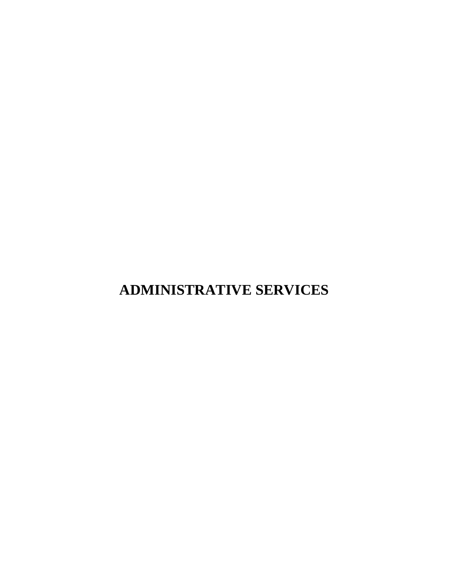# **ADMINISTRATIVE SERVICES**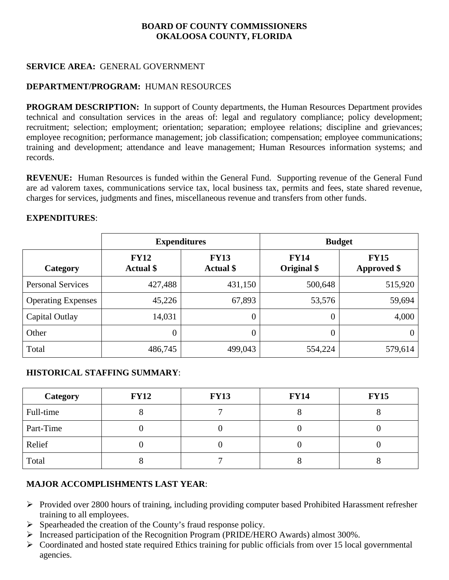#### **SERVICE AREA:** GENERAL GOVERNMENT

## **DEPARTMENT/PROGRAM:** HUMAN RESOURCES

**PROGRAM DESCRIPTION:** In support of County departments, the Human Resources Department provides technical and consultation services in the areas of: legal and regulatory compliance; policy development; recruitment; selection; employment; orientation; separation; employee relations; discipline and grievances; employee recognition; performance management; job classification; compensation; employee communications; training and development; attendance and leave management; Human Resources information systems; and records.

**REVENUE:** Human Resources is funded within the General Fund. Supporting revenue of the General Fund are ad valorem taxes, communications service tax, local business tax, permits and fees, state shared revenue, charges for services, judgments and fines, miscellaneous revenue and transfers from other funds.

| <b>EXPENDITURES:</b> |
|----------------------|
|----------------------|

|                           | <b>Expenditures</b>             |                                 | <b>Budget</b>              |                                   |  |
|---------------------------|---------------------------------|---------------------------------|----------------------------|-----------------------------------|--|
| Category                  | <b>FY12</b><br><b>Actual</b> \$ | <b>FY13</b><br><b>Actual</b> \$ | <b>FY14</b><br>Original \$ | <b>FY15</b><br><b>Approved \$</b> |  |
| <b>Personal Services</b>  | 427,488                         | 431,150                         | 500,648                    | 515,920                           |  |
| <b>Operating Expenses</b> | 45,226                          | 67,893                          | 53,576                     | 59,694                            |  |
| Capital Outlay            | 14,031                          | $\theta$                        | 0                          | 4,000                             |  |
| Other                     | $\theta$                        | 0                               | $\theta$                   | 0                                 |  |
| Total                     | 486,745                         | 499,043                         | 554,224                    | 579,614                           |  |

#### **HISTORICAL STAFFING SUMMARY**:

| <b>Category</b> | <b>FY12</b> | <b>FY13</b> | <b>FY14</b> | <b>FY15</b> |
|-----------------|-------------|-------------|-------------|-------------|
| Full-time       |             |             |             |             |
| Part-Time       |             |             |             |             |
| Relief          |             |             |             |             |
| Total           |             |             |             |             |

#### **MAJOR ACCOMPLISHMENTS LAST YEAR**:

- $\triangleright$  Provided over 2800 hours of training, including providing computer based Prohibited Harassment refresher training to all employees.
- $\triangleright$  Spearheaded the creation of the County's fraud response policy.
- Increased participation of the Recognition Program (PRIDE/HERO Awards) almost 300%.
- $\triangleright$  Coordinated and hosted state required Ethics training for public officials from over 15 local governmental agencies.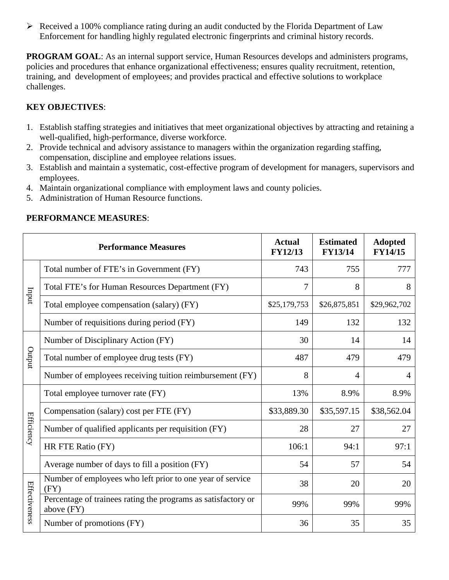$\triangleright$  Received a 100% compliance rating during an audit conducted by the Florida Department of Law Enforcement for handling highly regulated electronic fingerprints and criminal history records.

**PROGRAM GOAL:** As an internal support service, Human Resources develops and administers programs, policies and procedures that enhance organizational effectiveness; ensures quality recruitment, retention, training, and development of employees; and provides practical and effective solutions to workplace challenges.

# **KEY OBJECTIVES**:

- 1. Establish staffing strategies and initiatives that meet organizational objectives by attracting and retaining a well-qualified, high-performance, diverse workforce.
- 2. Provide technical and advisory assistance to managers within the organization regarding staffing, compensation, discipline and employee relations issues.
- 3. Establish and maintain a systematic, cost-effective program of development for managers, supervisors and employees.
- 4. Maintain organizational compliance with employment laws and county policies.
- 5. Administration of Human Resource functions.

|                   | <b>Performance Measures</b>                                                 | <b>Actual</b><br><b>FY12/13</b> | <b>Estimated</b><br><b>FY13/14</b> | <b>Adopted</b><br><b>FY14/15</b> |
|-------------------|-----------------------------------------------------------------------------|---------------------------------|------------------------------------|----------------------------------|
|                   | Total number of FTE's in Government (FY)                                    | 743                             | 755                                | 777                              |
| Inqui             | Total FTE's for Human Resources Department (FY)                             | 7                               | 8                                  | 8                                |
|                   | Total employee compensation (salary) (FY)                                   | \$25,179,753                    | \$26,875,851                       | \$29,962,702                     |
|                   | Number of requisitions during period (FY)                                   | 149                             | 132                                | 132                              |
|                   | Number of Disciplinary Action (FY)                                          | 30                              | 14                                 | 14                               |
| putput            | Total number of employee drug tests (FY)                                    | 487                             | 479                                | 479                              |
|                   | Number of employees receiving tuition reimbursement (FY)                    | 8                               | 4                                  | 4                                |
|                   | Total employee turnover rate (FY)                                           | 13%                             | 8.9%                               | 8.9%                             |
|                   | Compensation (salary) cost per FTE (FY)                                     | \$33,889.30                     | \$35,597.15                        | \$38,562.04                      |
| <b>Efficiency</b> | Number of qualified applicants per requisition (FY)                         | 28                              | 27                                 | 27                               |
|                   | HR FTE Ratio (FY)                                                           | 106:1                           | 94:1                               | 97:1                             |
|                   | Average number of days to fill a position (FY)                              | 54                              | 57                                 | 54                               |
|                   | Number of employees who left prior to one year of service<br>(FY)           | 38                              | 20                                 | 20                               |
| Effectiveness     | Percentage of trainees rating the programs as satisfactory or<br>above (FY) | 99%                             | 99%                                | 99%                              |
|                   | Number of promotions (FY)                                                   | 36                              | 35                                 | 35                               |

# **PERFORMANCE MEASURES**: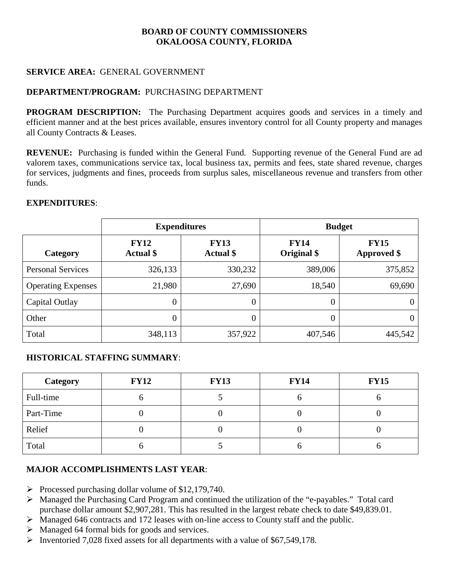#### **SERVICE AREA: GENERAL GOVERNMENT**

#### **DEPARTMENT/PROGRAM: PURCHASING DEPARTMENT**

**PROGRAM DESCRIPTION:** The Purchasing Department acquires goods and services in a timely and efficient manner and at the best prices available, ensures inventory control for all County property and manages all County Contracts & Leases.

**REVENUE:** Purchasing is funded within the General Fund. Supporting revenue of the General Fund are ad valorem taxes, communications service tax, local business tax, permits and fees, state shared revenue, charges for services, judgments and fines, proceeds from surplus sales, miscellaneous revenue and transfers from other funds.

#### **EXPENDITURES**:

|                           | <b>Expenditures</b>             |                                 | <b>Budget</b>              |                                   |
|---------------------------|---------------------------------|---------------------------------|----------------------------|-----------------------------------|
| Category                  | <b>FY12</b><br><b>Actual</b> \$ | <b>FY13</b><br><b>Actual</b> \$ | <b>FY14</b><br>Original \$ | <b>FY15</b><br><b>Approved</b> \$ |
| <b>Personal Services</b>  | 326,133                         | 330,232                         | 389,006                    | 375,852                           |
| <b>Operating Expenses</b> | 21,980                          | 27,690                          | 18,540                     | 69,690                            |
| Capital Outlay            | $\overline{0}$                  | 0                               | 0                          | 0                                 |
| Other                     | $\overline{0}$                  | 0                               | 0                          | 0                                 |
| Total                     | 348,113                         | 357,922                         | 407,546                    | 445,542                           |

#### **HISTORICAL STAFFING SUMMARY**:

| Category  | <b>FY12</b> | <b>FY13</b> | <b>FY14</b> | <b>FY15</b> |
|-----------|-------------|-------------|-------------|-------------|
| Full-time | v           |             | U           |             |
| Part-Time |             |             |             |             |
| Relief    |             |             |             |             |
| Total     |             |             |             |             |

#### **MAJOR ACCOMPLISHMENTS LAST YEAR**:

- Processed purchasing dollar volume of  $$12,179,740$ .
- Managed the Purchasing Card Program and continued the utilization of the "e-payables." Total card purchase dollar amount \$2,907,281. This has resulted in the largest rebate check to date \$49,839.01.
- Managed 646 contracts and 172 leases with on-line access to County staff and the public.
- $\triangleright$  Managed 64 formal bids for goods and services.
- Inventoried 7,028 fixed assets for all departments with a value of  $$67,549,178$ .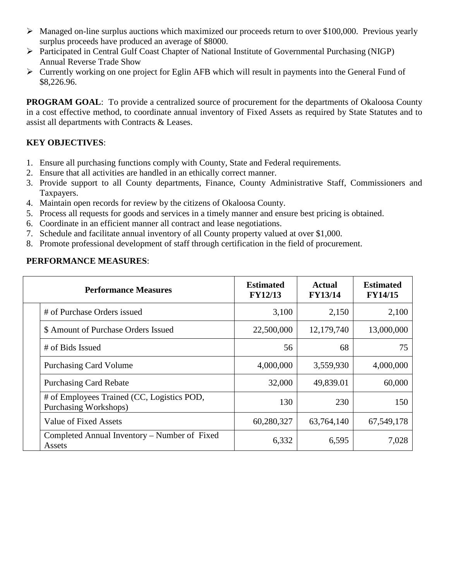- Managed on-line surplus auctions which maximized our proceeds return to over \$100,000. Previous yearly surplus proceeds have produced an average of \$8000.
- Participated in Central Gulf Coast Chapter of National Institute of Governmental Purchasing (NIGP) Annual Reverse Trade Show
- Currently working on one project for Eglin AFB which will result in payments into the General Fund of \$8,226.96.

**PROGRAM GOAL:** To provide a centralized source of procurement for the departments of Okaloosa County in a cost effective method, to coordinate annual inventory of Fixed Assets as required by State Statutes and to assist all departments with Contracts & Leases.

# **KEY OBJECTIVES**:

- 1. Ensure all purchasing functions comply with County, State and Federal requirements.
- 2. Ensure that all activities are handled in an ethically correct manner.
- 3. Provide support to all County departments, Finance, County Administrative Staff, Commissioners and Taxpayers.
- 4. Maintain open records for review by the citizens of Okaloosa County.
- 5. Process all requests for goods and services in a timely manner and ensure best pricing is obtained.
- 6. Coordinate in an efficient manner all contract and lease negotiations.
- 7. Schedule and facilitate annual inventory of all County property valued at over \$1,000.
- 8. Promote professional development of staff through certification in the field of procurement.

# **PERFORMANCE MEASURES**:

| <b>Performance Measures</b>                                         | <b>Estimated</b><br><b>FY12/13</b> | Actual<br><b>FY13/14</b> | <b>Estimated</b><br><b>FY14/15</b> |
|---------------------------------------------------------------------|------------------------------------|--------------------------|------------------------------------|
| # of Purchase Orders issued                                         | 3,100                              | 2,150                    | 2,100                              |
| \$ Amount of Purchase Orders Issued                                 | 22,500,000                         | 12,179,740               | 13,000,000                         |
| # of Bids Issued                                                    | 56                                 | 68                       | 75                                 |
| <b>Purchasing Card Volume</b>                                       | 4,000,000                          | 3,559,930                | 4,000,000                          |
| <b>Purchasing Card Rebate</b>                                       | 32,000                             | 49,839.01                | 60,000                             |
| # of Employees Trained (CC, Logistics POD,<br>Purchasing Workshops) | 130                                | 230                      | 150                                |
| Value of Fixed Assets                                               | 60,280,327                         | 63,764,140               | 67,549,178                         |
| Completed Annual Inventory – Number of Fixed<br>Assets              | 6,332                              | 6,595                    | 7,028                              |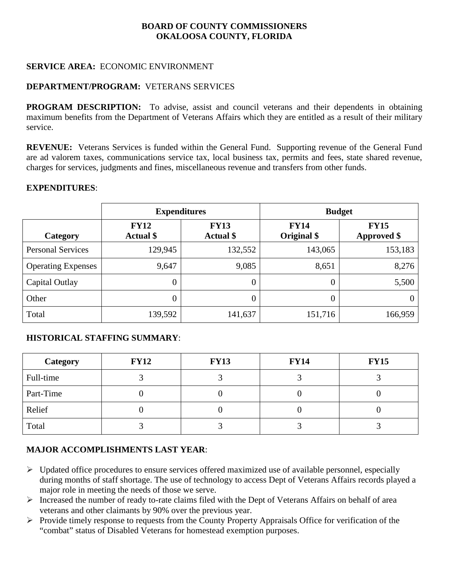#### **SERVICE AREA:** ECONOMIC ENVIRONMENT

#### **DEPARTMENT/PROGRAM:** VETERANS SERVICES

**PROGRAM DESCRIPTION:** To advise, assist and council veterans and their dependents in obtaining maximum benefits from the Department of Veterans Affairs which they are entitled as a result of their military service.

**REVENUE:** Veterans Services is funded within the General Fund. Supporting revenue of the General Fund are ad valorem taxes, communications service tax, local business tax, permits and fees, state shared revenue, charges for services, judgments and fines, miscellaneous revenue and transfers from other funds.

#### **EXPENDITURES**:

|                           | <b>Expenditures</b>                                                |         | <b>Budget</b>              |                                   |  |
|---------------------------|--------------------------------------------------------------------|---------|----------------------------|-----------------------------------|--|
| Category                  | <b>FY12</b><br><b>FY13</b><br><b>Actual</b> \$<br><b>Actual</b> \$ |         | <b>FY14</b><br>Original \$ | <b>FY15</b><br><b>Approved</b> \$ |  |
| <b>Personal Services</b>  | 129,945                                                            | 132,552 | 143,065                    | 153,183                           |  |
| <b>Operating Expenses</b> | 9,647                                                              | 9,085   | 8,651                      | 8,276                             |  |
| Capital Outlay            | $\overline{0}$                                                     | 0       | $\boldsymbol{0}$           | 5,500                             |  |
| Other                     | $\overline{0}$                                                     | 0       | 0                          | 0                                 |  |
| Total                     | 139,592                                                            | 141,637 | 151,716                    | 166,959                           |  |

#### **HISTORICAL STAFFING SUMMARY**:

| Category  | <b>FY12</b> | <b>FY13</b> | <b>FY14</b> | <b>FY15</b> |
|-----------|-------------|-------------|-------------|-------------|
| Full-time |             |             |             |             |
| Part-Time |             |             |             |             |
| Relief    |             |             |             |             |
| Total     |             |             |             |             |

#### **MAJOR ACCOMPLISHMENTS LAST YEAR**:

- $\triangleright$  Updated office procedures to ensure services offered maximized use of available personnel, especially during months of staff shortage. The use of technology to access Dept of Veterans Affairs records played a major role in meeting the needs of those we serve.
- $\triangleright$  Increased the number of ready to-rate claims filed with the Dept of Veterans Affairs on behalf of area veterans and other claimants by 90% over the previous year.
- $\triangleright$  Provide timely response to requests from the County Property Appraisals Office for verification of the "combat" status of Disabled Veterans for homestead exemption purposes.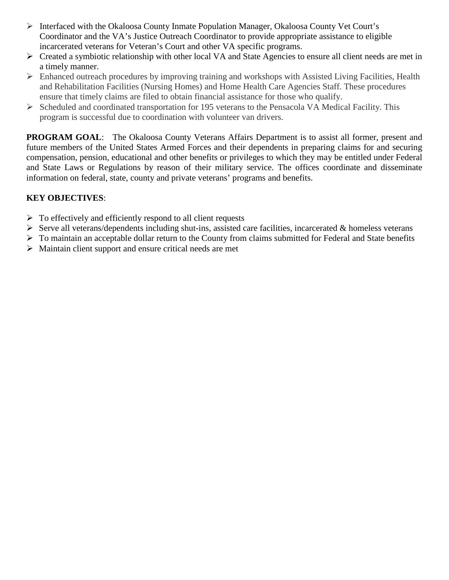- $\triangleright$  Interfaced with the Okaloosa County Inmate Population Manager, Okaloosa County Vet Court's Coordinator and the VA's Justice Outreach Coordinator to provide appropriate assistance to eligible incarcerated veterans for Veteran's Court and other VA specific programs.
- Created a symbiotic relationship with other local VA and State Agencies to ensure all client needs are met in a timely manner.
- $\triangleright$  Enhanced outreach procedures by improving training and workshops with Assisted Living Facilities, Health and Rehabilitation Facilities (Nursing Homes) and Home Health Care Agencies Staff. These procedures ensure that timely claims are filed to obtain financial assistance for those who qualify.
- $\triangleright$  Scheduled and coordinated transportation for 195 veterans to the Pensacola VA Medical Facility. This program is successful due to coordination with volunteer van drivers.

**PROGRAM GOAL:** The Okaloosa County Veterans Affairs Department is to assist all former, present and future members of the United States Armed Forces and their dependents in preparing claims for and securing compensation, pension, educational and other benefits or privileges to which they may be entitled under Federal and State Laws or Regulations by reason of their military service. The offices coordinate and disseminate information on federal, state, county and private veterans' programs and benefits.

# **KEY OBJECTIVES**:

- $\triangleright$  To effectively and efficiently respond to all client requests
- $\triangleright$  Serve all veterans/dependents including shut-ins, assisted care facilities, incarcerated & homeless veterans
- $\triangleright$  To maintain an acceptable dollar return to the County from claims submitted for Federal and State benefits
- $\triangleright$  Maintain client support and ensure critical needs are met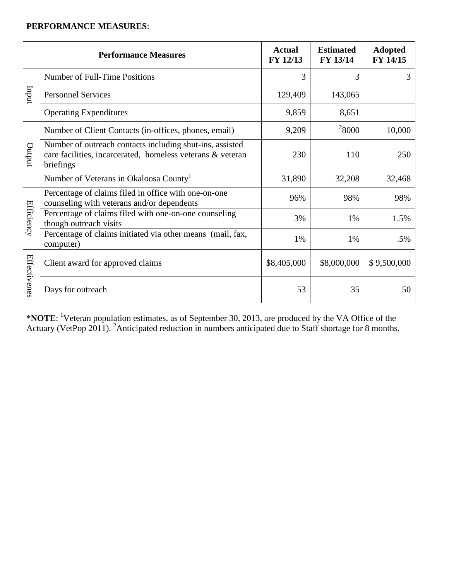# **PERFORMANCE MEASURES**:

|              | <b>Performance Measures</b>                                                                                                         | <b>Actual</b><br>FY 12/13 | <b>Estimated</b><br>FY 13/14 | <b>Adopted</b><br>FY 14/15 |
|--------------|-------------------------------------------------------------------------------------------------------------------------------------|---------------------------|------------------------------|----------------------------|
|              | Number of Full-Time Positions                                                                                                       | 3                         | 3                            | 3                          |
| Inqui        | <b>Personnel Services</b>                                                                                                           | 129,409                   | 143,065                      |                            |
|              | <b>Operating Expenditures</b>                                                                                                       | 9,859                     | 8,651                        |                            |
|              | Number of Client Contacts (in-offices, phones, email)                                                                               | 9,209                     | $^{2}8000$                   | 10,000                     |
| putput       | Number of outreach contacts including shut-ins, assisted<br>care facilities, incarcerated, homeless veterans & veteran<br>briefings | 230                       | 110                          | 250                        |
|              | Number of Veterans in Okaloosa County <sup>1</sup>                                                                                  | 31,890                    | 32,208                       | 32,468                     |
|              | Percentage of claims filed in office with one-on-one<br>counseling with veterans and/or dependents                                  | 96%                       | 98%                          | 98%                        |
| Efficiency   | Percentage of claims filed with one-on-one counseling<br>though outreach visits                                                     | 3%                        | 1%                           | 1.5%                       |
|              | Percentage of claims initiated via other means (mail, fax,<br>computer)                                                             | 1%                        | 1%                           | .5%                        |
| Effectivenes | Client award for approved claims                                                                                                    | \$8,405,000               | \$8,000,000                  | \$9,500,000                |
|              | Days for outreach                                                                                                                   | 53                        | 35                           | 50                         |

\***NOTE**: 1 Veteran population estimates, as of September 30, 2013, are produced by the VA Office of the Actuary (VetPop 2011). <sup>2</sup> Anticipated reduction in numbers anticipated due to Staff shortage for 8 months.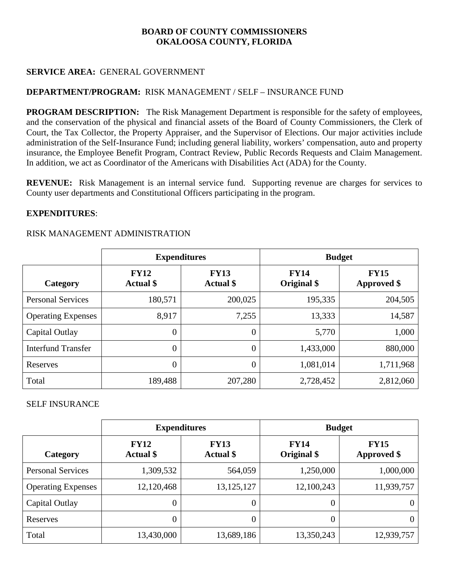#### **SERVICE AREA:** GENERAL GOVERNMENT

## **DEPARTMENT/PROGRAM:** RISK MANAGEMENT / SELF – INSURANCE FUND

**PROGRAM DESCRIPTION:** The Risk Management Department is responsible for the safety of employees, and the conservation of the physical and financial assets of the Board of County Commissioners, the Clerk of Court, the Tax Collector, the Property Appraiser, and the Supervisor of Elections. Our major activities include administration of the Self-Insurance Fund; including general liability, workers' compensation, auto and property insurance, the Employee Benefit Program, Contract Review, Public Records Requests and Claim Management. In addition, we act as Coordinator of the Americans with Disabilities Act (ADA) for the County.

**REVENUE:** Risk Management is an internal service fund. Supporting revenue are charges for services to County user departments and Constitutional Officers participating in the program.

#### **EXPENDITURES**:

#### RISK MANAGEMENT ADMINISTRATION

|                           |                                 | <b>Expenditures</b>             | <b>Budget</b>              |                                   |  |
|---------------------------|---------------------------------|---------------------------------|----------------------------|-----------------------------------|--|
| Category                  | <b>FY12</b><br><b>Actual</b> \$ | <b>FY13</b><br><b>Actual</b> \$ | <b>FY14</b><br>Original \$ | <b>FY15</b><br><b>Approved \$</b> |  |
| <b>Personal Services</b>  | 180,571                         | 200,025                         | 195,335                    | 204,505                           |  |
| <b>Operating Expenses</b> | 8,917                           | 7,255                           | 13,333                     | 14,587                            |  |
| Capital Outlay            | $\theta$                        | $\overline{0}$                  | 5,770                      | 1,000                             |  |
| <b>Interfund Transfer</b> | $\overline{0}$                  | $\overline{0}$                  | 1,433,000                  | 880,000                           |  |
| Reserves                  | $\overline{0}$                  | $\overline{0}$                  | 1,081,014                  | 1,711,968                         |  |
| Total                     | 189,488                         | 207,280                         | 2,728,452                  | 2,812,060                         |  |

#### SELF INSURANCE

|                           | <b>Expenditures</b>             |                                 | <b>Budget</b>              |                                   |  |
|---------------------------|---------------------------------|---------------------------------|----------------------------|-----------------------------------|--|
| Category                  | <b>FY12</b><br><b>Actual</b> \$ | <b>FY13</b><br><b>Actual</b> \$ | <b>FY14</b><br>Original \$ | <b>FY15</b><br><b>Approved</b> \$ |  |
| <b>Personal Services</b>  | 1,309,532                       | 564,059                         | 1,250,000                  | 1,000,000                         |  |
| <b>Operating Expenses</b> | 12,120,468                      | 13, 125, 127                    | 12,100,243                 | 11,939,757                        |  |
| Capital Outlay            | $\boldsymbol{0}$                | 0                               | $\boldsymbol{0}$           | 0                                 |  |
| Reserves                  | $\boldsymbol{0}$                | 0                               | $\boldsymbol{0}$           | 0                                 |  |
| Total                     | 13,430,000                      | 13,689,186                      | 13,350,243                 | 12,939,757                        |  |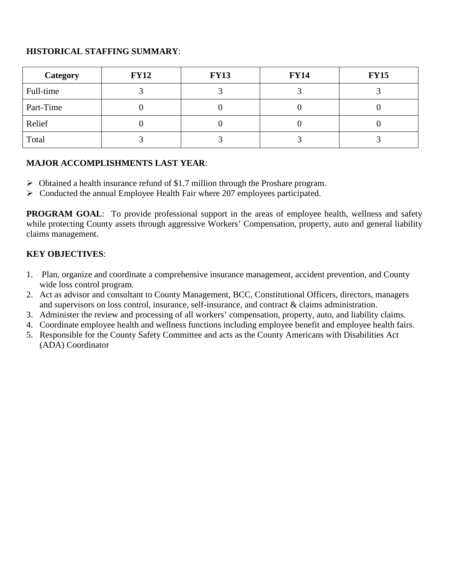# **HISTORICAL STAFFING SUMMARY**:

| Category  | <b>FY12</b> | <b>FY13</b> | <b>FY14</b> | <b>FY15</b> |  |
|-----------|-------------|-------------|-------------|-------------|--|
| Full-time |             |             |             |             |  |
| Part-Time |             |             |             |             |  |
| Relief    |             |             |             |             |  |
| Total     |             |             |             |             |  |

# **MAJOR ACCOMPLISHMENTS LAST YEAR**:

- $\triangleright$  Obtained a health insurance refund of \$1.7 million through the Proshare program.
- Conducted the annual Employee Health Fair where 207 employees participated.

**PROGRAM GOAL:** To provide professional support in the areas of employee health, wellness and safety while protecting County assets through aggressive Workers' Compensation, property, auto and general liability claims management.

# **KEY OBJECTIVES**:

- 1. Plan, organize and coordinate a comprehensive insurance management, accident prevention, and County wide loss control program.
- 2. Act as advisor and consultant to County Management, BCC, Constitutional Officers, directors, managers and supervisors on loss control, insurance, self-insurance, and contract & claims administration.
- 3. Administer the review and processing of all workers' compensation, property, auto, and liability claims.
- 4. Coordinate employee health and wellness functions including employee benefit and employee health fairs.
- 5. Responsible for the County Safety Committee and acts as the County Americans with Disabilities Act (ADA) Coordinator